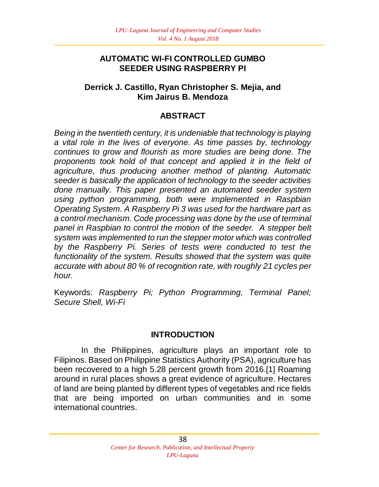## **AUTOMATIC WI-FI CONTROLLED GUMBO SEEDER USING RASPBERRY PI**

## **Derrick J. Castillo, Ryan Christopher S. Mejia, and Kim Jairus B. Mendoza**

# **ABSTRACT**

*Being in the twentieth century, it is undeniable that technology is playing a vital role in the lives of everyone. As time passes by, technology continues to grow and flourish as more studies are being done. The proponents took hold of that concept and applied it in the field of agriculture, thus producing another method of planting. Automatic seeder is basically the application of technology to the seeder activities done manually. This paper presented an automated seeder system using python programming, both were implemented in Raspbian Operating System. A Raspberry Pi 3 was used for the hardware part as a control mechanism. Code processing was done by the use of terminal panel in Raspbian to control the motion of the seeder. A stepper belt system was implemented to run the stepper motor which was controlled by the Raspberry Pi. Series of tests were conducted to test the functionality of the system. Results showed that the system was quite accurate with about 80 % of recognition rate, with roughly 21 cycles per hour.*

Keywords: *Raspberry Pi; Python Programming, Terminal Panel; Secure Shell, Wi-Fi*

## **INTRODUCTION**

In the Philippines, agriculture plays an important role to Filipinos. Based on Philippine Statistics Authority (PSA), agriculture has been recovered to a high 5.28 percent growth from 2016.[1] Roaming around in rural places shows a great evidence of agriculture. Hectares of land are being planted by different types of vegetables and rice fields that are being imported on urban communities and in some international countries.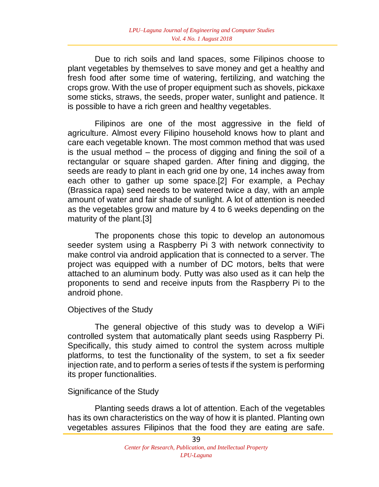Due to rich soils and land spaces, some Filipinos choose to plant vegetables by themselves to save money and get a healthy and fresh food after some time of watering, fertilizing, and watching the crops grow. With the use of proper equipment such as shovels, pickaxe some sticks, straws, the seeds, proper water, sunlight and patience. It is possible to have a rich green and healthy vegetables.

Filipinos are one of the most aggressive in the field of agriculture. Almost every Filipino household knows how to plant and care each vegetable known. The most common method that was used is the usual method – the process of digging and fining the soil of a rectangular or square shaped garden. After fining and digging, the seeds are ready to plant in each grid one by one, 14 inches away from each other to gather up some space.[2] For example, a Pechay (Brassica rapa) seed needs to be watered twice a day, with an ample amount of water and fair shade of sunlight. A lot of attention is needed as the vegetables grow and mature by 4 to 6 weeks depending on the maturity of the plant.[3]

The proponents chose this topic to develop an autonomous seeder system using a Raspberry Pi 3 with network connectivity to make control via android application that is connected to a server. The project was equipped with a number of DC motors, belts that were attached to an aluminum body. Putty was also used as it can help the proponents to send and receive inputs from the Raspberry Pi to the android phone.

### Objectives of the Study

The general objective of this study was to develop a WiFi controlled system that automatically plant seeds using Raspberry Pi. Specifically, this study aimed to control the system across multiple platforms, to test the functionality of the system, to set a fix seeder injection rate, and to perform a series of tests if the system is performing its proper functionalities.

### Significance of the Study

Planting seeds draws a lot of attention. Each of the vegetables has its own characteristics on the way of how it is planted. Planting own vegetables assures Filipinos that the food they are eating are safe.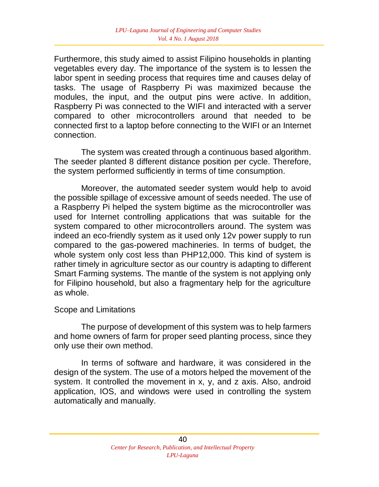Furthermore, this study aimed to assist Filipino households in planting vegetables every day. The importance of the system is to lessen the labor spent in seeding process that requires time and causes delay of tasks. The usage of Raspberry Pi was maximized because the modules, the input, and the output pins were active. In addition, Raspberry Pi was connected to the WIFI and interacted with a server compared to other microcontrollers around that needed to be connected first to a laptop before connecting to the WIFI or an Internet connection.

 The system was created through a continuous based algorithm. The seeder planted 8 different distance position per cycle. Therefore, the system performed sufficiently in terms of time consumption.

Moreover, the automated seeder system would help to avoid the possible spillage of excessive amount of seeds needed. The use of a Raspberry Pi helped the system bigtime as the microcontroller was used for Internet controlling applications that was suitable for the system compared to other microcontrollers around. The system was indeed an eco-friendly system as it used only 12v power supply to run compared to the gas-powered machineries. In terms of budget, the whole system only cost less than PHP12,000. This kind of system is rather timely in agriculture sector as our country is adapting to different Smart Farming systems. The mantle of the system is not applying only for Filipino household, but also a fragmentary help for the agriculture as whole.

### Scope and Limitations

The purpose of development of this system was to help farmers and home owners of farm for proper seed planting process, since they only use their own method.

In terms of software and hardware, it was considered in the design of the system. The use of a motors helped the movement of the system. It controlled the movement in x, y, and z axis. Also, android application, IOS, and windows were used in controlling the system automatically and manually.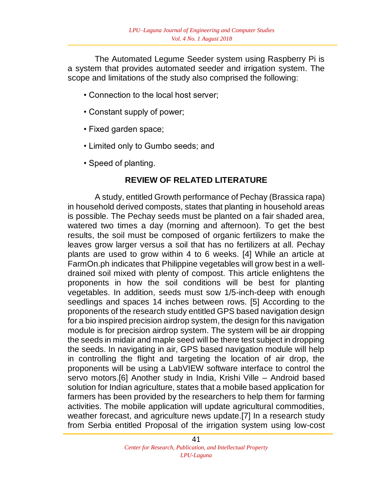The Automated Legume Seeder system using Raspberry Pi is a system that provides automated seeder and irrigation system. The scope and limitations of the study also comprised the following:

- Connection to the local host server;
- Constant supply of power;
- Fixed garden space;
- Limited only to Gumbo seeds; and
- Speed of planting.

## **REVIEW OF RELATED LITERATURE**

A study, entitled Growth performance of Pechay (Brassica rapa) in household derived composts, states that planting in household areas is possible. The Pechay seeds must be planted on a fair shaded area, watered two times a day (morning and afternoon). To get the best results, the soil must be composed of organic fertilizers to make the leaves grow larger versus a soil that has no fertilizers at all. Pechay plants are used to grow within 4 to 6 weeks. [4] While an article at FarmOn.ph indicates that Philippine vegetables will grow best in a welldrained soil mixed with plenty of compost. This article enlightens the proponents in how the soil conditions will be best for planting vegetables. In addition, seeds must sow 1/5-inch-deep with enough seedlings and spaces 14 inches between rows. [5] According to the proponents of the research study entitled GPS based navigation design for a bio inspired precision airdrop system, the design for this navigation module is for precision airdrop system. The system will be air dropping the seeds in midair and maple seed will be there test subject in dropping the seeds. In navigating in air, GPS based navigation module will help in controlling the flight and targeting the location of air drop, the proponents will be using a LabVIEW software interface to control the servo motors.[6] Another study in India, Krishi Ville – Android based solution for Indian agriculture, states that a mobile based application for farmers has been provided by the researchers to help them for farming activities. The mobile application will update agricultural commodities, weather forecast, and agriculture news update.[7] In a research study from Serbia entitled Proposal of the irrigation system using low-cost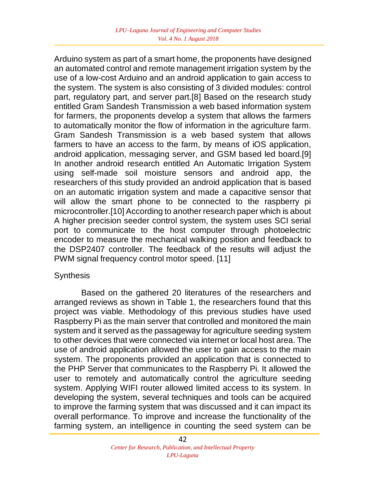Arduino system as part of a smart home, the proponents have designed an automated control and remote management irrigation system by the use of a low-cost Arduino and an android application to gain access to the system. The system is also consisting of 3 divided modules: control part, regulatory part, and server part.[8] Based on the research study entitled Gram Sandesh Transmission a web based information system for farmers, the proponents develop a system that allows the farmers to automatically monitor the flow of information in the agriculture farm. Gram Sandesh Transmission is a web based system that allows farmers to have an access to the farm, by means of iOS application, android application, messaging server, and GSM based led board.[9] In another android research entitled An Automatic Irrigation System using self-made soil moisture sensors and android app, the researchers of this study provided an android application that is based on an automatic irrigation system and made a capacitive sensor that will allow the smart phone to be connected to the raspberry pi microcontroller.[10] According to another research paper which is about A higher precision seeder control system, the system uses SCI serial port to communicate to the host computer through photoelectric encoder to measure the mechanical walking position and feedback to the DSP2407 controller. The feedback of the results will adjust the PWM signal frequency control motor speed. [11]

### **Synthesis**

Based on the gathered 20 literatures of the researchers and arranged reviews as shown in Table 1, the researchers found that this project was viable. Methodology of this previous studies have used Raspberry Pi as the main server that controlled and monitored the main system and it served as the passageway for agriculture seeding system to other devices that were connected via internet or local host area. The use of android application allowed the user to gain access to the main system. The proponents provided an application that is connected to the PHP Server that communicates to the Raspberry Pi. It allowed the user to remotely and automatically control the agriculture seeding system. Applying WIFI router allowed limited access to its system. In developing the system, several techniques and tools can be acquired to improve the farming system that was discussed and it can impact its overall performance. To improve and increase the functionality of the farming system, an intelligence in counting the seed system can be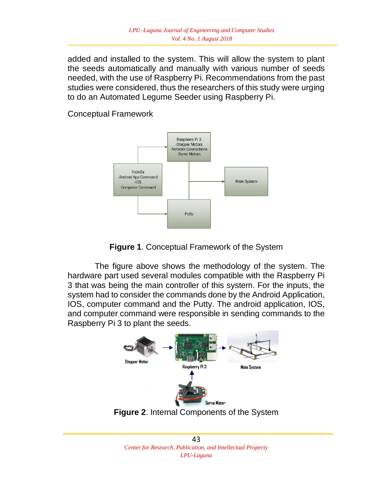added and installed to the system. This will allow the system to plant the seeds automatically and manually with various number of seeds needed, with the use of Raspberry Pi. Recommendations from the past studies were considered, thus the researchers of this study were urging to do an Automated Legume Seeder using Raspberry Pi.

Conceptual Framework





The figure above shows the methodology of the system. The hardware part used several modules compatible with the Raspberry Pi 3 that was being the main controller of this system. For the inputs, the system had to consider the commands done by the Android Application, IOS, computer command and the Putty. The android application, IOS, and computer command were responsible in sending commands to the Raspberry Pi 3 to plant the seeds.



**Figure 2**. Internal Components of the System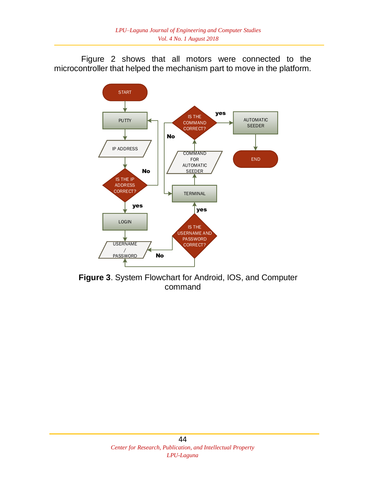Figure 2 shows that all motors were connected to the microcontroller that helped the mechanism part to move in the platform.



**Figure 3**. System Flowchart for Android, IOS, and Computer command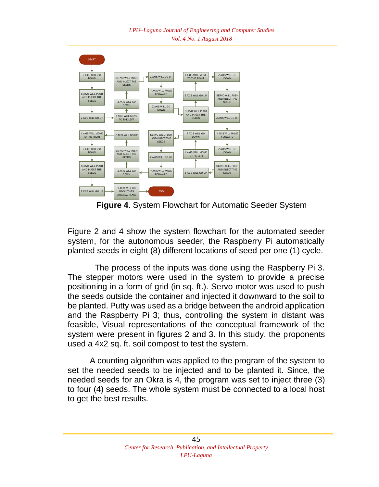

**Figure 4**. System Flowchart for Automatic Seeder System

Figure 2 and 4 show the system flowchart for the automated seeder system, for the autonomous seeder, the Raspberry Pi automatically planted seeds in eight (8) different locations of seed per one (1) cycle.

The process of the inputs was done using the Raspberry Pi 3. The stepper motors were used in the system to provide a precise positioning in a form of grid (in sq. ft.). Servo motor was used to push the seeds outside the container and injected it downward to the soil to be planted. Putty was used as a bridge between the android application and the Raspberry Pi 3; thus, controlling the system in distant was feasible, Visual representations of the conceptual framework of the system were present in figures 2 and 3. In this study, the proponents used a 4x2 sq. ft. soil compost to test the system.

 A counting algorithm was applied to the program of the system to set the needed seeds to be injected and to be planted it. Since, the needed seeds for an Okra is 4, the program was set to inject three (3) to four (4) seeds. The whole system must be connected to a local host to get the best results.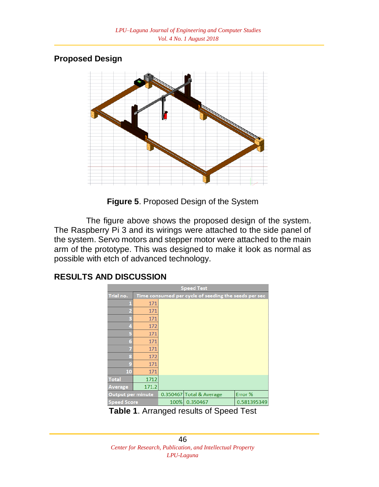# **Proposed Design**



**Figure 5**. Proposed Design of the System

The figure above shows the proposed design of the system. The Raspberry Pi 3 and its wirings were attached to the side panel of the system. Servo motors and stepper motor were attached to the main arm of the prototype. This was designed to make it look as normal as possible with etch of advanced technology.

#### **Speed Test** Trial no Time consumed per cycle of seeding the s 171 171 171 172 171 171 171 172 171 171 10 1712 Total 171.2 **\verage**  $0.350467$  Total & Average Error % Output per minute **Speed Score** 100% 0.350467 0.581395349

**Table 1**. Arranged results of Speed Test

## **RESULTS AND DISCUSSION**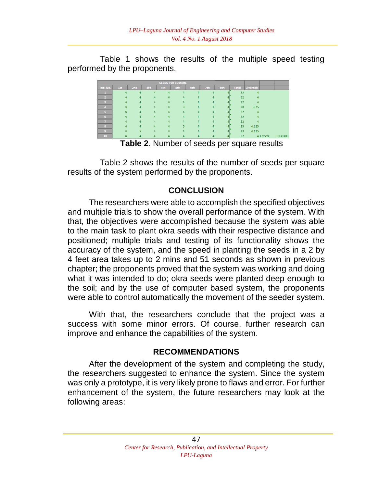Table 1 shows the results of the multiple speed testing performed by the proponents.

| <b>SEEDS PER SQUARE</b> |     |                  |                        |                |            |                |          |     |              |                  |          |          |
|-------------------------|-----|------------------|------------------------|----------------|------------|----------------|----------|-----|--------------|------------------|----------|----------|
| Trial No.               | 1st | 2nd              | 3rd                    | 4th            | <b>5th</b> | 6th            | 7th      | 8th | <b>Total</b> | Average          |          |          |
|                         |     | $\overline{a}$   | $\mathbf{A}$           | $\overline{a}$ | Δ          | 4              | Δ        |     | 32           | 4                |          |          |
| $\overline{2}$          |     | $\boldsymbol{A}$ | $\boldsymbol{\Lambda}$ | 4              | 4          | 4              |          |     | 32           | $\boldsymbol{A}$ |          |          |
| $\overline{\mathbf{3}}$ | Δ   | $\mathbf{a}$     | 4                      | $\Delta$       | Δ          | 4              | $\Delta$ |     | 32           | 4                |          |          |
| $\overline{A}$          |     | $\mathbf{A}$     | 4                      | 4              |            | 4              |          |     | 30           | 3.75             |          |          |
| 5                       |     |                  | $\overline{a}$         |                |            | $\overline{a}$ |          |     | 32           | Δ                |          |          |
| 6                       |     |                  | $\overline{A}$         |                |            | $\overline{a}$ |          |     | 32           | $\boldsymbol{A}$ |          |          |
|                         |     |                  | $\Delta$               |                |            |                |          |     | 32           |                  |          |          |
| R.                      |     |                  | 4                      |                |            |                |          |     | 33           | 4.125            |          |          |
| $\bullet$               |     |                  |                        |                |            |                |          |     | 33           | 4.125            |          |          |
| 10 <sub>1</sub>         |     |                  |                        |                |            |                |          |     | 32           |                  | 4 Error% | 3.030303 |

**Table 2**. Number of seeds per square results

Table 2 shows the results of the number of seeds per square results of the system performed by the proponents.

# **CONCLUSION**

The researchers were able to accomplish the specified objectives and multiple trials to show the overall performance of the system. With that, the objectives were accomplished because the system was able to the main task to plant okra seeds with their respective distance and positioned; multiple trials and testing of its functionality shows the accuracy of the system, and the speed in planting the seeds in a 2 by 4 feet area takes up to 2 mins and 51 seconds as shown in previous chapter; the proponents proved that the system was working and doing what it was intended to do; okra seeds were planted deep enough to the soil; and by the use of computer based system, the proponents were able to control automatically the movement of the seeder system.

With that, the researchers conclude that the project was a success with some minor errors. Of course, further research can improve and enhance the capabilities of the system.

## **RECOMMENDATIONS**

After the development of the system and completing the study, the researchers suggested to enhance the system. Since the system was only a prototype, it is very likely prone to flaws and error. For further enhancement of the system, the future researchers may look at the following areas: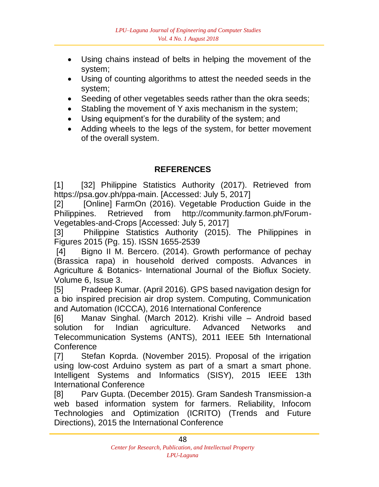- Using chains instead of belts in helping the movement of the system;
- Using of counting algorithms to attest the needed seeds in the system;
- Seeding of other vegetables seeds rather than the okra seeds;
- Stabling the movement of Y axis mechanism in the system;
- Using equipment's for the durability of the system; and
- Adding wheels to the legs of the system, for better movement of the overall system.

# **REFERENCES**

[1] [32] Philippine Statistics Authority (2017). Retrieved from https://psa.gov.ph/ppa-main. [Accessed: July 5, 2017]

[2] [Online] FarmOn (2016). Vegetable Production Guide in the Philippines. Retrieved from http://community.farmon.ph/Forum-Vegetables-and-Crops [Accessed: July 5, 2017]

[3] Philippine Statistics Authority (2015). The Philippines in Figures 2015 (Pg. 15). ISSN 1655-2539

[4] Bigno II M. Bercero. (2014). Growth performance of pechay (Brassica rapa) in household derived composts. Advances in Agriculture & Botanics- International Journal of the Bioflux Society. Volume 6, Issue 3.

[5] Pradeep Kumar. (April 2016). GPS based navigation design for a bio inspired precision air drop system. Computing, Communication and Automation (ICCCA), 2016 International Conference

[6] Manav Singhal. (March 2012). Krishi ville – Android based solution for Indian agriculture. Advanced Networks and Telecommunication Systems (ANTS), 2011 IEEE 5th International **Conference** 

[7] Stefan Koprda. (November 2015). Proposal of the irrigation using low-cost Arduino system as part of a smart a smart phone. Intelligent Systems and Informatics (SISY), 2015 IEEE 13th International Conference

[8] Parv Gupta. (December 2015). Gram Sandesh Transmission-a web based information system for farmers. Reliability, Infocom Technologies and Optimization (ICRITO) (Trends and Future Directions), 2015 the International Conference